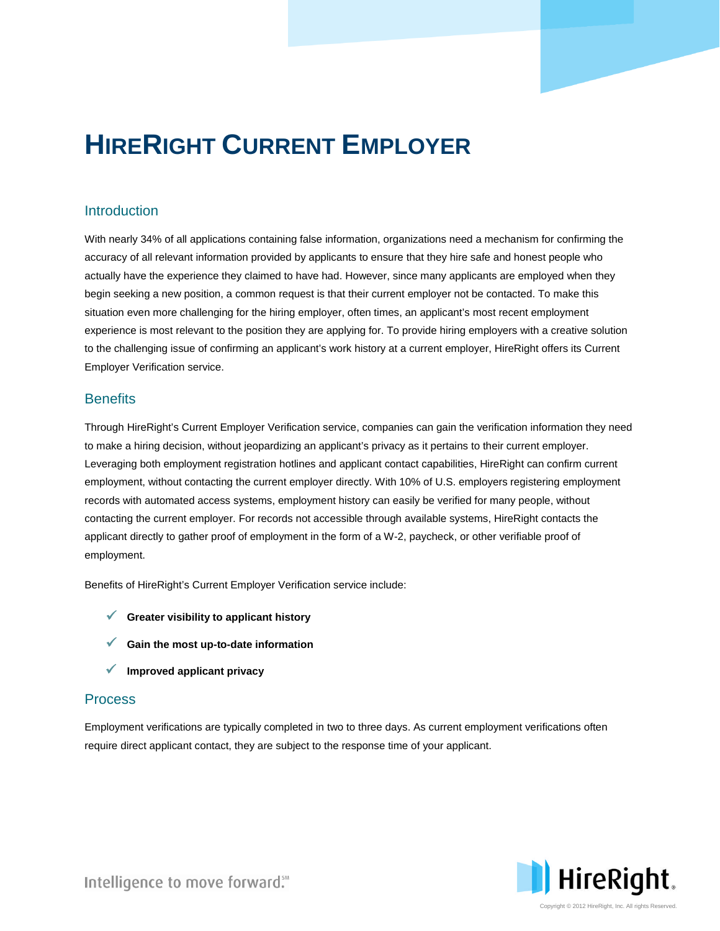# **HIRERIGHT CURRENT EMPLOYER**

# **Introduction**

With nearly 34% of all applications containing false information, organizations need a mechanism for confirming the accuracy of all relevant information provided by applicants to ensure that they hire safe and honest people who actually have the experience they claimed to have had. However, since many applicants are employed when they begin seeking a new position, a common request is that their current employer not be contacted. To make this situation even more challenging for the hiring employer, often times, an applicant's most recent employment experience is most relevant to the position they are applying for. To provide hiring employers with a creative solution to the challenging issue of confirming an applicant's work history at a current employer, HireRight offers its Current Employer Verification service.

### **Benefits**

Through HireRight's Current Employer Verification service, companies can gain the verification information they need to make a hiring decision, without jeopardizing an applicant's privacy as it pertains to their current employer. Leveraging both employment registration hotlines and applicant contact capabilities, HireRight can confirm current employment, without contacting the current employer directly. With 10% of U.S. employers registering employment records with automated access systems, employment history can easily be verified for many people, without contacting the current employer. For records not accessible through available systems, HireRight contacts the applicant directly to gather proof of employment in the form of a W-2, paycheck, or other verifiable proof of employment.

Benefits of HireRight's Current Employer Verification service include:

- **Greater visibility to applicant history**
- **Gain the most up-to-date information**
- **Improved applicant privacy**

#### Process

Employment verifications are typically completed in two to three days. As current employment verifications often require direct applicant contact, they are subject to the response time of your applicant.



Intelligence to move forward."